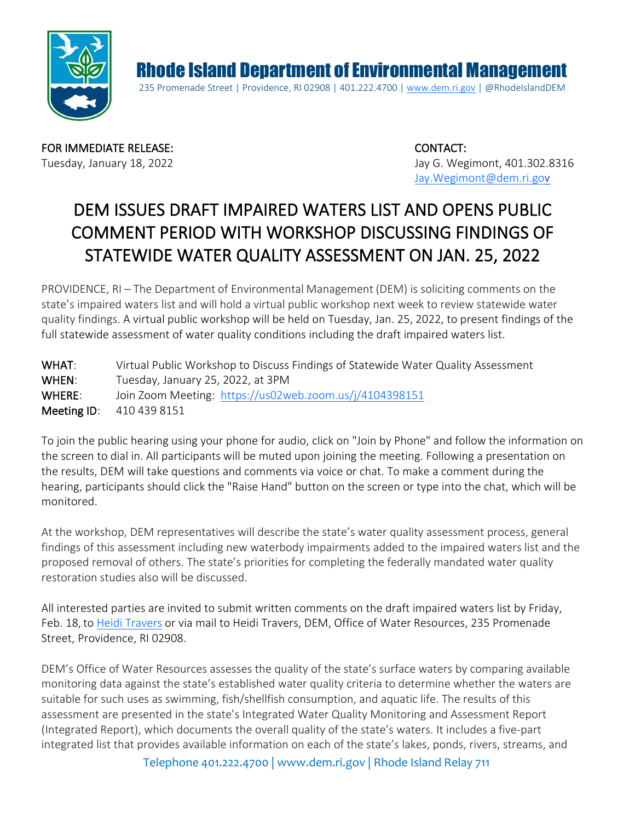

Rhode Island Department of Environmental Management 235 Promenade Street | Providence, RI 02908 | 401.222.4700 | [www.dem.ri.gov](http://www.dem.ri.gov/) | @RhodeIslandDEM

FOR IMMEDIATE RELEASE: CONTACT:

Tuesday, January 18, 2022 **Jay G. Wegimont, 401.302.8316** [Jay.Wegimont@dem.ri.gov](mailto:Jay.Wegimont@dem.ri.gov)

## DEM ISSUES DRAFT IMPAIRED WATERS LIST AND OPENS PUBLIC COMMENT PERIOD WITH WORKSHOP DISCUSSING FINDINGS OF STATEWIDE WATER QUALITY ASSESSMENT ON JAN. 25, 2022

PROVIDENCE, RI – The Department of Environmental Management (DEM) is soliciting comments on the state's impaired waters list and will hold a virtual public workshop next week to review statewide water quality findings. A virtual public workshop will be held on Tuesday, Jan. 25, 2022, to present findings of the full statewide assessment of water quality conditions including the draft impaired waters list.

WHAT: Virtual Public Workshop to Discuss Findings of Statewide Water Quality Assessment WHEN: Tuesday, January 25, 2022, at 3PM WHERE: Join Zoom Meeting: <https://us02web.zoom.us/j/4104398151> Meeting ID: 410 439 8151

To join the public hearing using your phone for audio, click on "Join by Phone" and follow the information on the screen to dial in. All participants will be muted upon joining the meeting. Following a presentation on the results, DEM will take questions and comments via voice or chat. To make a comment during the hearing, participants should click the "Raise Hand" button on the screen or type into the chat, which will be monitored.

At the workshop, DEM representatives will describe the state's water quality assessment process, general findings of this assessment including new waterbody impairments added to the impaired waters list and the proposed removal of others. The state's priorities for completing the federally mandated water quality restoration studies also will be discussed.

All interested parties are invited to submit written comments on the draft impaired waters list by Friday, Feb. 18,to [Heidi Travers](mailto:heidi.travers@dem.ri.gov) or via mail to Heidi Travers, DEM, Office of Water Resources, 235 Promenade Street, Providence, RI 02908.

DEM's Office of Water Resources assesses the quality of the state's surface waters by comparing available monitoring data against the state's established water quality criteria to determine whether the waters are suitable for such uses as swimming, fish/shellfish consumption, and aquatic life. The results of this assessment are presented in the state's Integrated Water Quality Monitoring and Assessment Report (Integrated Report), which documents the overall quality of the state's waters. It includes a five-part integrated list that provides available information on each of the state's lakes, ponds, rivers, streams, and

Telephone 401.222.4700 | [www.dem.ri.gov](http://www.dem.ri.gov/) | Rhode Island Relay 711